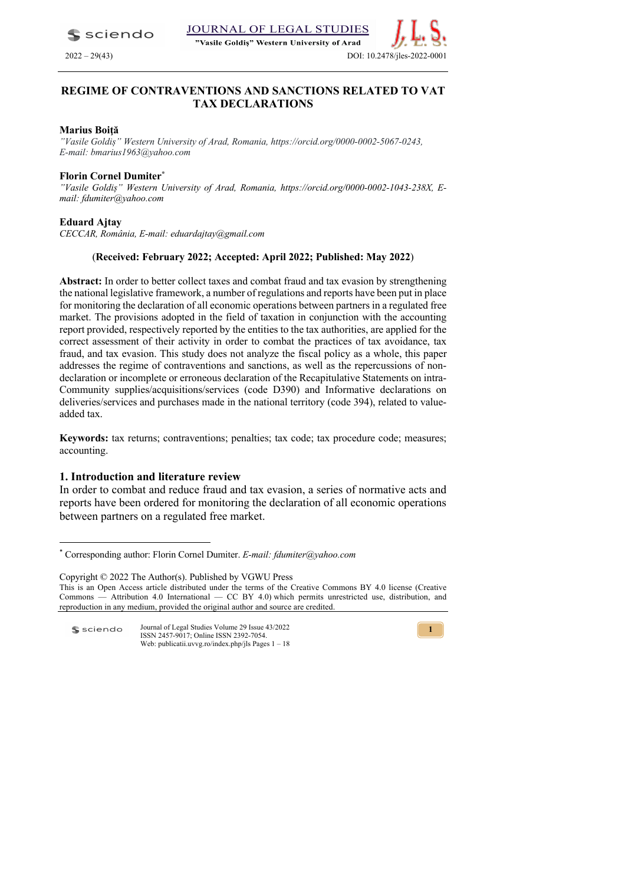JOURNAL OF LEGAL STUDIES  $\blacktriangle$  sciendo

"Vasile Goldis" Western University of Arad

2022 – 29(43) DOI: 10.2478/jles

# **REGIME OF CONTRAVENTIONS AND SANCTIONS RELATED TO VAT TAX DECLARATIONS**

### **Marius Boiţă**

*"Vasile Goldiș" Western University of Arad, Romania, https://orcid.org/0000-0002-5067-0243, E-mail: bmarius1963@yahoo.com*

# **Florin Cornel Dumiter\***

*"Vasile Goldiș" Western University of Arad, Romania, https://orcid.org/0000-0002-1043-238X, Email: fdumiter@yahoo.com*

## **Eduard Ajtay**

*CECCAR, România, E-mail: eduardajtay@gmail.com*

# (**Received: February 2022; Accepted: April 2022; Published: May 2022**)

**Abstract:** In order to better collect taxes and combat fraud and tax evasion by strengthening the national legislative framework, a number of regulations and reports have been put in place for monitoring the declaration of all economic operations between partners in a regulated free market. The provisions adopted in the field of taxation in conjunction with the accounting report provided, respectively reported by the entities to the tax authorities, are applied for the correct assessment of their activity in order to combat the practices of tax avoidance, tax fraud, and tax evasion. This study does not analyze the fiscal policy as a whole, this paper addresses the regime of contraventions and sanctions, as well as the repercussions of nondeclaration or incomplete or erroneous declaration of the Recapitulative Statements on intra-Community supplies/acquisitions/services (code D390) and Informative declarations on deliveries/services and purchases made in the national territory (code 394), related to valueadded tax.

Keywords: tax returns; contraventions; penalties; tax code; tax procedure code; measures; accounting.

# **1. Introduction and literature review**

In order to combat and reduce fraud and tax evasion, a series of normative acts and reports have been ordered for monitoring the declaration of all economic operations between partners on a regulated free market.

Copyright © 2022 The Author(s). Published by VGWU Press This is an Open Access article distributed under the terms of the Creative Commons BY 4.0 license (Creative Commons — Attribution 4.0 International — CC BY 4.0) which permits unrestricted use, distribution, and reproduction in any medium, provided the original author and source are credited.



<sup>\*</sup> Corresponding author: Florin Cornel Dumiter. *E-mail: fdumiter@yahoo.com*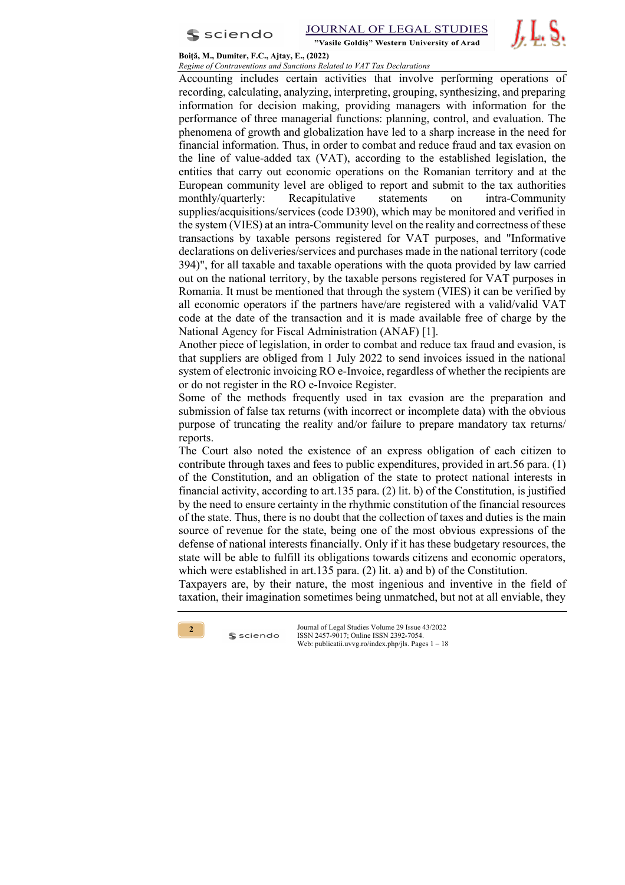

JOURNAL OF LEGAL STUDIES "Vasile Goldis" Western University of Arad

*J.* L. S.

#### **Boiţă, M., Dumiter, F.C., Ajtay, E., (2022)** *Regime of Contraventions and Sanctions Related to VAT Tax Declarations*

Accounting includes certain activities that involve performing operations of recording, calculating, analyzing, interpreting, grouping, synthesizing, and preparing information for decision making, providing managers with information for the performance of three managerial functions: planning, control, and evaluation. The phenomena of growth and globalization have led to a sharp increase in the need for financial information. Thus, in order to combat and reduce fraud and tax evasion on the line of value-added tax (VAT), according to the established legislation, the entities that carry out economic operations on the Romanian territory and at the European community level are obliged to report and submit to the tax authorities monthly/quarterly: Recapitulative statements on intra-Community supplies/acquisitions/services (code D390), which may be monitored and verified in the system (VIES) at an intra-Community level on the reality and correctness of these transactions by taxable persons registered for VAT purposes, and "Informative declarations on deliveries/services and purchases made in the national territory (code 394)", for all taxable and taxable operations with the quota provided by law carried out on the national territory, by the taxable persons registered for VAT purposes in Romania. It must be mentioned that through the system (VIES) it can be verified by all economic operators if the partners have/are registered with a valid/valid VAT code at the date of the transaction and it is made available free of charge by the National Agency for Fiscal Administration (ANAF) [1].

Another piece of legislation, in order to combat and reduce tax fraud and evasion, is that suppliers are obliged from 1 July 2022 to send invoices issued in the national system of electronic invoicing RO e-Invoice, regardless of whether the recipients are or do not register in the RO e-Invoice Register.

Some of the methods frequently used in tax evasion are the preparation and submission of false tax returns (with incorrect or incomplete data) with the obvious purpose of truncating the reality and/or failure to prepare mandatory tax returns/ reports.

The Court also noted the existence of an express obligation of each citizen to contribute through taxes and fees to public expenditures, provided in art.56 para. (1) of the Constitution, and an obligation of the state to protect national interests in financial activity, according to art.135 para. (2) lit. b) of the Constitution, is justified by the need to ensure certainty in the rhythmic constitution of the financial resources of the state. Thus, there is no doubt that the collection of taxes and duties is the main source of revenue for the state, being one of the most obvious expressions of the defense of national interests financially. Only if it has these budgetary resources, the state will be able to fulfill its obligations towards citizens and economic operators, which were established in art.135 para. (2) lit. a) and b) of the Constitution.

Taxpayers are, by their nature, the most ingenious and inventive in the field of taxation, their imagination sometimes being unmatched, but not at all enviable, they



 $s$  sciendo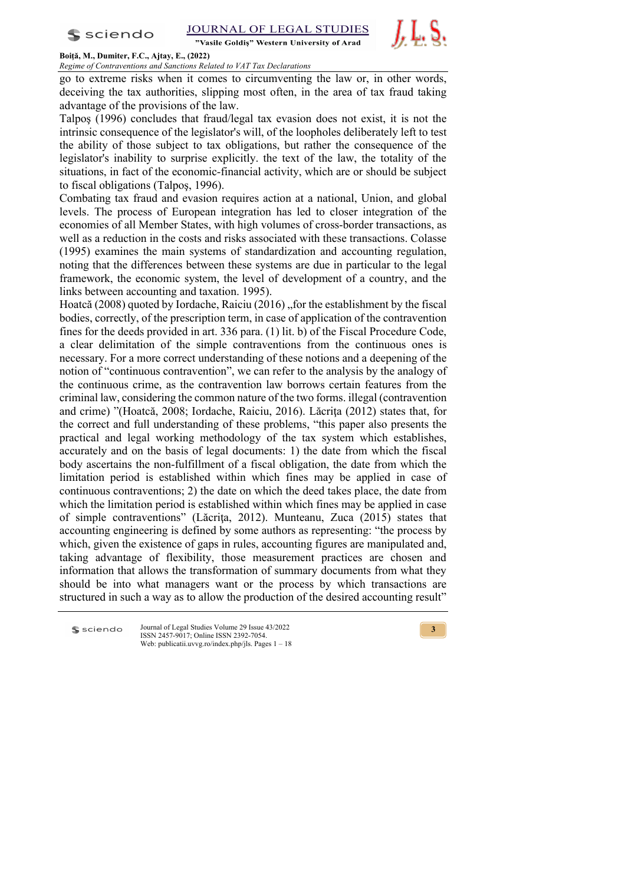"Vasile Goldis" Western University of Arad



## **Boiţă, M., Dumiter, F.C., Ajtay, E., (2022)**

# *Regime of Contraventions and Sanctions Related to VAT Tax Declarations*

go to extreme risks when it comes to circumventing the law or, in other words, deceiving the tax authorities, slipping most often, in the area of tax fraud taking advantage of the provisions of the law.

Talpoş (1996) concludes that fraud/legal tax evasion does not exist, it is not the intrinsic consequence of the legislator's will, of the loopholes deliberately left to test the ability of those subject to tax obligations, but rather the consequence of the legislator's inability to surprise explicitly. the text of the law, the totality of the situations, in fact of the economic-financial activity, which are or should be subject to fiscal obligations (Talpoş, 1996).

Combating tax fraud and evasion requires action at a national, Union, and global levels. The process of European integration has led to closer integration of the economies of all Member States, with high volumes of cross-border transactions, as well as a reduction in the costs and risks associated with these transactions. Colasse (1995) examines the main systems of standardization and accounting regulation, noting that the differences between these systems are due in particular to the legal framework, the economic system, the level of development of a country, and the links between accounting and taxation. 1995).

Hoatcă (2008) quoted by Iordache, Raiciu (2016) "for the establishment by the fiscal bodies, correctly, of the prescription term, in case of application of the contravention fines for the deeds provided in art. 336 para. (1) lit. b) of the Fiscal Procedure Code, a clear delimitation of the simple contraventions from the continuous ones is necessary. For a more correct understanding of these notions and a deepening of the notion of "continuous contravention", we can refer to the analysis by the analogy of the continuous crime, as the contravention law borrows certain features from the criminal law, considering the common nature of the two forms. illegal (contravention and crime) "(Hoatcă, 2008; Iordache, Raiciu, 2016). Lăcriţa (2012) states that, for the correct and full understanding of these problems, "this paper also presents the practical and legal working methodology of the tax system which establishes, accurately and on the basis of legal documents: 1) the date from which the fiscal body ascertains the non-fulfillment of a fiscal obligation, the date from which the limitation period is established within which fines may be applied in case of continuous contraventions; 2) the date on which the deed takes place, the date from which the limitation period is established within which fines may be applied in case of simple contraventions" (Lăcriţa, 2012). Munteanu, Zuca (2015) states that accounting engineering is defined by some authors as representing: "the process by which, given the existence of gaps in rules, accounting figures are manipulated and, taking advantage of flexibility, those measurement practices are chosen and information that allows the transformation of summary documents from what they should be into what managers want or the process by which transactions are structured in such a way as to allow the production of the desired accounting result"

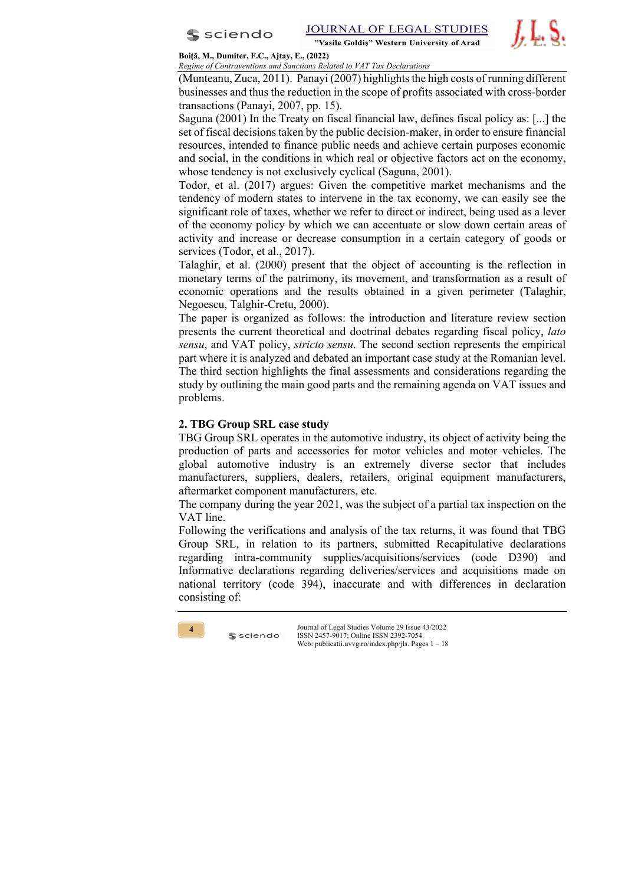

*J.* L. S.

#### **Boiţă, M., Dumiter, F.C., Ajtay, E., (2022)** *Regime of Contraventions and Sanctions Related to VAT Tax Declarations*

(Munteanu, Zuca, 2011). Panayi (2007) highlights the high costs of running different businesses and thus the reduction in the scope of profits associated with cross-border transactions (Panayi, 2007, pp. 15).

Saguna (2001) In the Treaty on fiscal financial law, defines fiscal policy as: [...] the set of fiscal decisions taken by the public decision-maker, in order to ensure financial resources, intended to finance public needs and achieve certain purposes economic and social, in the conditions in which real or objective factors act on the economy, whose tendency is not exclusively cyclical (Saguna, 2001).

Todor, et al. (2017) argues: Given the competitive market mechanisms and the tendency of modern states to intervene in the tax economy, we can easily see the significant role of taxes, whether we refer to direct or indirect, being used as a lever of the economy policy by which we can accentuate or slow down certain areas of activity and increase or decrease consumption in a certain category of goods or services (Todor, et al., 2017).

Talaghir, et al. (2000) present that the object of accounting is the reflection in monetary terms of the patrimony, its movement, and transformation as a result of economic operations and the results obtained in a given perimeter (Talaghir, Negoescu, Talghir-Cretu, 2000).

The paper is organized as follows: the introduction and literature review section presents the current theoretical and doctrinal debates regarding fiscal policy, *lato sensu*, and VAT policy, *stricto sensu*. The second section represents the empirical part where it is analyzed and debated an important case study at the Romanian level. The third section highlights the final assessments and considerations regarding the study by outlining the main good parts and the remaining agenda on VAT issues and problems.

# **2. TBG Group SRL case study**

 $s$  sciendo

TBG Group SRL operates in the automotive industry, its object of activity being the production of parts and accessories for motor vehicles and motor vehicles. The global automotive industry is an extremely diverse sector that includes manufacturers, suppliers, dealers, retailers, original equipment manufacturers, aftermarket component manufacturers, etc.

The company during the year 2021, was the subject of a partial tax inspection on the VAT line.

Following the verifications and analysis of the tax returns, it was found that TBG Group SRL, in relation to its partners, submitted Recapitulative declarations regarding intra-community supplies/acquisitions/services (code D390) and Informative declarations regarding deliveries/services and acquisitions made on national territory (code 394), inaccurate and with differences in declaration consisting of:

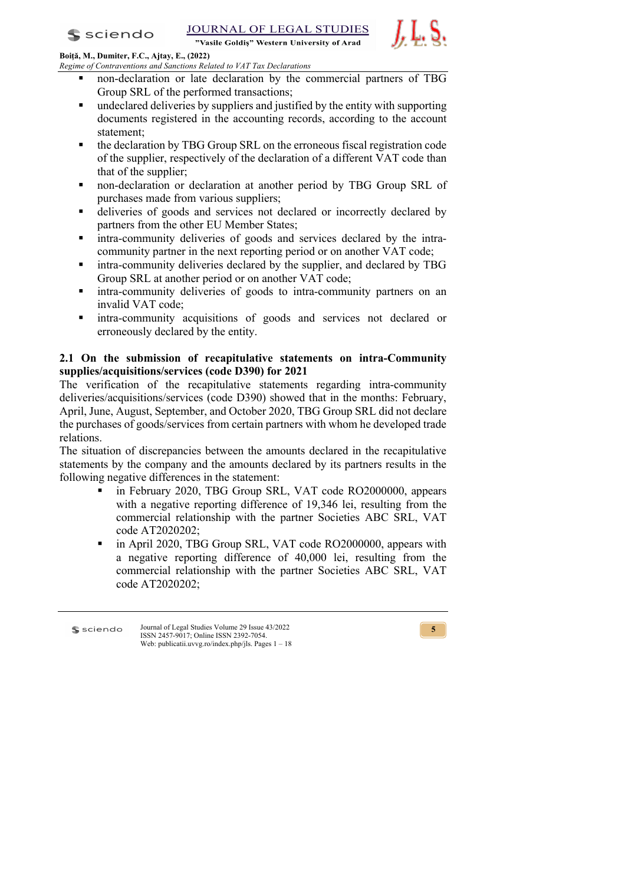$s$  sciendo

"Vasile Goldis" Western University of Arad



**Boiţă, M., Dumiter, F.C., Ajtay, E., (2022)** *Regime of Contraventions and Sanctions Related to VAT Tax Declarations*

- § non-declaration or late declaration by the commercial partners of TBG Group SRL of the performed transactions;
- undeclared deliveries by suppliers and justified by the entity with supporting documents registered in the accounting records, according to the account statement;
- the declaration by TBG Group SRL on the erroneous fiscal registration code of the supplier, respectively of the declaration of a different VAT code than that of the supplier;
- § non-declaration or declaration at another period by TBG Group SRL of purchases made from various suppliers;
- deliveries of goods and services not declared or incorrectly declared by partners from the other EU Member States;
- intra-community deliveries of goods and services declared by the intracommunity partner in the next reporting period or on another VAT code;
- intra-community deliveries declared by the supplier, and declared by TBG Group SRL at another period or on another VAT code;
- § intra-community deliveries of goods to intra-community partners on an invalid VAT code;
- § intra-community acquisitions of goods and services not declared or erroneously declared by the entity.

# **2.1 On the submission of recapitulative statements on intra-Community supplies/acquisitions/services (code D390) for 2021**

The verification of the recapitulative statements regarding intra-community deliveries/acquisitions/services (code D390) showed that in the months: February, April, June, August, September, and October 2020, TBG Group SRL did not declare the purchases of goods/services from certain partners with whom he developed trade relations.

The situation of discrepancies between the amounts declared in the recapitulative statements by the company and the amounts declared by its partners results in the following negative differences in the statement:

- in February 2020, TBG Group SRL, VAT code RO2000000, appears with a negative reporting difference of 19,346 lei, resulting from the commercial relationship with the partner Societies ABC SRL, VAT code AT2020202;
- in April 2020, TBG Group SRL, VAT code RO2000000, appears with a negative reporting difference of 40,000 lei, resulting from the commercial relationship with the partner Societies ABC SRL, VAT code AT2020202;

Journal of Legal Studies Volume 29 Issue 43/2022 s sciendo ISSN 2457-9017; Online ISSN 2392-7054. Web: publicatii.uvvg.ro/index.php/jls. Pages 1 – 18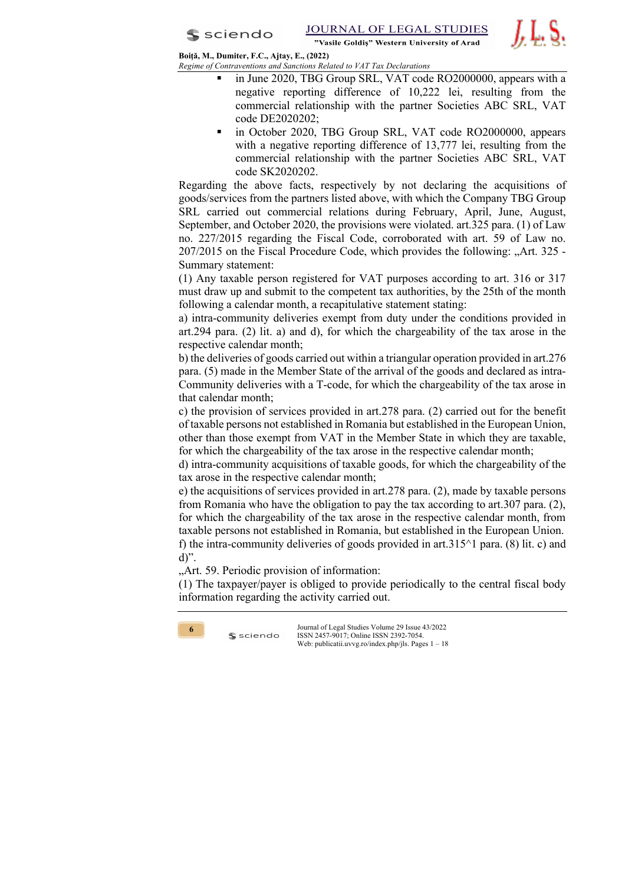*J.* L. S.

**Boiţă, M., Dumiter, F.C., Ajtay, E., (2022)** *Regime of Contraventions and Sanctions Related to VAT Tax Declarations*

- in June 2020, TBG Group SRL, VAT code RO2000000, appears with a negative reporting difference of 10,222 lei, resulting from the commercial relationship with the partner Societies ABC SRL, VAT code DE2020202;
- in October 2020, TBG Group SRL, VAT code RO2000000, appears with a negative reporting difference of 13,777 lei, resulting from the commercial relationship with the partner Societies ABC SRL, VAT code SK2020202.

Regarding the above facts, respectively by not declaring the acquisitions of goods/services from the partners listed above, with which the Company TBG Group SRL carried out commercial relations during February, April, June, August, September, and October 2020, the provisions were violated. art.325 para. (1) of Law no. 227/2015 regarding the Fiscal Code, corroborated with art. 59 of Law no. 207/2015 on the Fiscal Procedure Code, which provides the following: "Art. 325 - Summary statement:

(1) Any taxable person registered for VAT purposes according to art. 316 or 317 must draw up and submit to the competent tax authorities, by the 25th of the month following a calendar month, a recapitulative statement stating:

a) intra-community deliveries exempt from duty under the conditions provided in art.294 para. (2) lit. a) and d), for which the chargeability of the tax arose in the respective calendar month;

b) the deliveries of goods carried out within a triangular operation provided in art.276 para. (5) made in the Member State of the arrival of the goods and declared as intra-Community deliveries with a T-code, for which the chargeability of the tax arose in that calendar month;

c) the provision of services provided in art.278 para. (2) carried out for the benefit of taxable persons not established in Romania but established in the European Union, other than those exempt from VAT in the Member State in which they are taxable, for which the chargeability of the tax arose in the respective calendar month;

d) intra-community acquisitions of taxable goods, for which the chargeability of the tax arose in the respective calendar month;

e) the acquisitions of services provided in art.278 para. (2), made by taxable persons from Romania who have the obligation to pay the tax according to art.307 para. (2), for which the chargeability of the tax arose in the respective calendar month, from taxable persons not established in Romania, but established in the European Union. f) the intra-community deliveries of goods provided in art.315 $\land$ 1 para. (8) lit. c) and d)".

"Art. 59. Periodic provision of information:

 $s$  sciendo

(1) The taxpayer/payer is obliged to provide periodically to the central fiscal body information regarding the activity carried out.

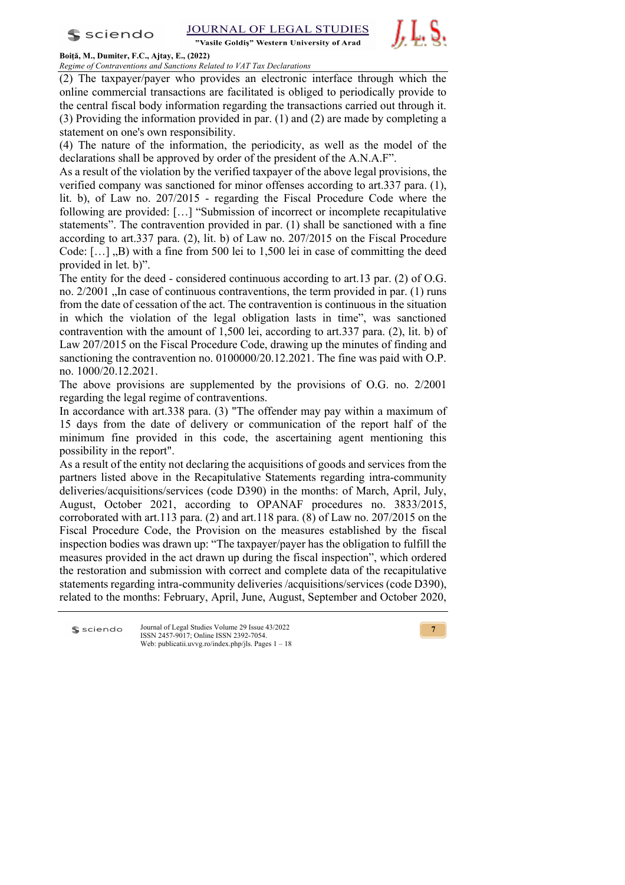

"Vasile Goldis" Western University of Arad



**Boiţă, M., Dumiter, F.C., Ajtay, E., (2022)**

*Regime of Contraventions and Sanctions Related to VAT Tax Declarations* (2) The taxpayer/payer who provides an electronic interface through which the online commercial transactions are facilitated is obliged to periodically provide to the central fiscal body information regarding the transactions carried out through it. (3) Providing the information provided in par. (1) and (2) are made by completing a statement on one's own responsibility.

(4) The nature of the information, the periodicity, as well as the model of the declarations shall be approved by order of the president of the A.N.A.F".

As a result of the violation by the verified taxpayer of the above legal provisions, the verified company was sanctioned for minor offenses according to art.337 para. (1), lit. b), of Law no. 207/2015 - regarding the Fiscal Procedure Code where the following are provided: […] "Submission of incorrect or incomplete recapitulative statements". The contravention provided in par. (1) shall be sanctioned with a fine according to art.337 para. (2), lit. b) of Law no. 207/2015 on the Fiscal Procedure Code:  $[\ldots]$ , B) with a fine from 500 lei to 1,500 lei in case of committing the deed provided in let. b)".

The entity for the deed - considered continuous according to art.13 par. (2) of O.G. no.  $2/2001$  . In case of continuous contraventions, the term provided in par. (1) runs from the date of cessation of the act. The contravention is continuous in the situation in which the violation of the legal obligation lasts in time", was sanctioned contravention with the amount of 1,500 lei, according to art.337 para. (2), lit. b) of Law 207/2015 on the Fiscal Procedure Code, drawing up the minutes of finding and sanctioning the contravention no. 0100000/20.12.2021. The fine was paid with O.P. no. 1000/20.12.2021.

The above provisions are supplemented by the provisions of O.G. no. 2/2001 regarding the legal regime of contraventions.

In accordance with art.338 para. (3) "The offender may pay within a maximum of 15 days from the date of delivery or communication of the report half of the minimum fine provided in this code, the ascertaining agent mentioning this possibility in the report".

As a result of the entity not declaring the acquisitions of goods and services from the partners listed above in the Recapitulative Statements regarding intra-community deliveries/acquisitions/services (code D390) in the months: of March, April, July, August, October 2021, according to OPANAF procedures no. 3833/2015, corroborated with art.113 para. (2) and art.118 para. (8) of Law no. 207/2015 on the Fiscal Procedure Code, the Provision on the measures established by the fiscal inspection bodies was drawn up: "The taxpayer/payer has the obligation to fulfill the measures provided in the act drawn up during the fiscal inspection", which ordered the restoration and submission with correct and complete data of the recapitulative statements regarding intra-community deliveries /acquisitions/services (code D390), related to the months: February, April, June, August, September and October 2020,

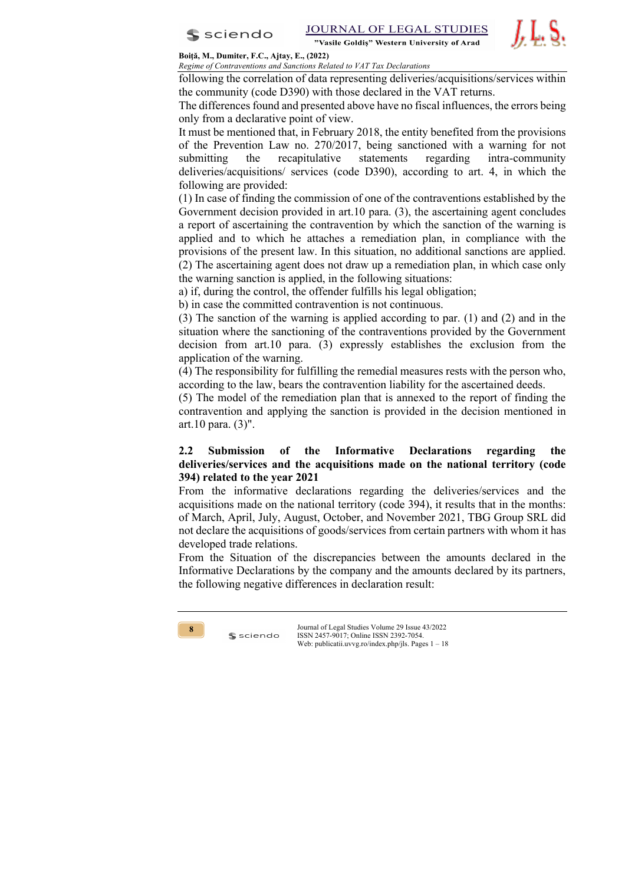

"Vasile Goldis" Western University of Arad



**Boiţă, M., Dumiter, F.C., Ajtay, E., (2022)** *Regime of Contraventions and Sanctions Related to VAT Tax Declarations*

following the correlation of data representing deliveries/acquisitions/services within the community (code D390) with those declared in the VAT returns.

The differences found and presented above have no fiscal influences, the errors being only from a declarative point of view.

It must be mentioned that, in February 2018, the entity benefited from the provisions of the Prevention Law no. 270/2017, being sanctioned with a warning for not submitting the recapitulative statements regarding intra-community deliveries/acquisitions/ services (code D390), according to art. 4, in which the following are provided:

(1) In case of finding the commission of one of the contraventions established by the Government decision provided in art.10 para. (3), the ascertaining agent concludes a report of ascertaining the contravention by which the sanction of the warning is applied and to which he attaches a remediation plan, in compliance with the provisions of the present law. In this situation, no additional sanctions are applied. (2) The ascertaining agent does not draw up a remediation plan, in which case only the warning sanction is applied, in the following situations:

a) if, during the control, the offender fulfills his legal obligation;

b) in case the committed contravention is not continuous.

(3) The sanction of the warning is applied according to par. (1) and (2) and in the situation where the sanctioning of the contraventions provided by the Government decision from art.10 para. (3) expressly establishes the exclusion from the application of the warning.

(4) The responsibility for fulfilling the remedial measures rests with the person who, according to the law, bears the contravention liability for the ascertained deeds.

(5) The model of the remediation plan that is annexed to the report of finding the contravention and applying the sanction is provided in the decision mentioned in art.10 para. (3)".

# **2.2 Submission of the Informative Declarations regarding the deliveries/services and the acquisitions made on the national territory (code 394) related to the year 2021**

From the informative declarations regarding the deliveries/services and the acquisitions made on the national territory (code 394), it results that in the months: of March, April, July, August, October, and November 2021, TBG Group SRL did not declare the acquisitions of goods/services from certain partners with whom it has developed trade relations.

From the Situation of the discrepancies between the amounts declared in the Informative Declarations by the company and the amounts declared by its partners, the following negative differences in declaration result:



 $s$  sciendo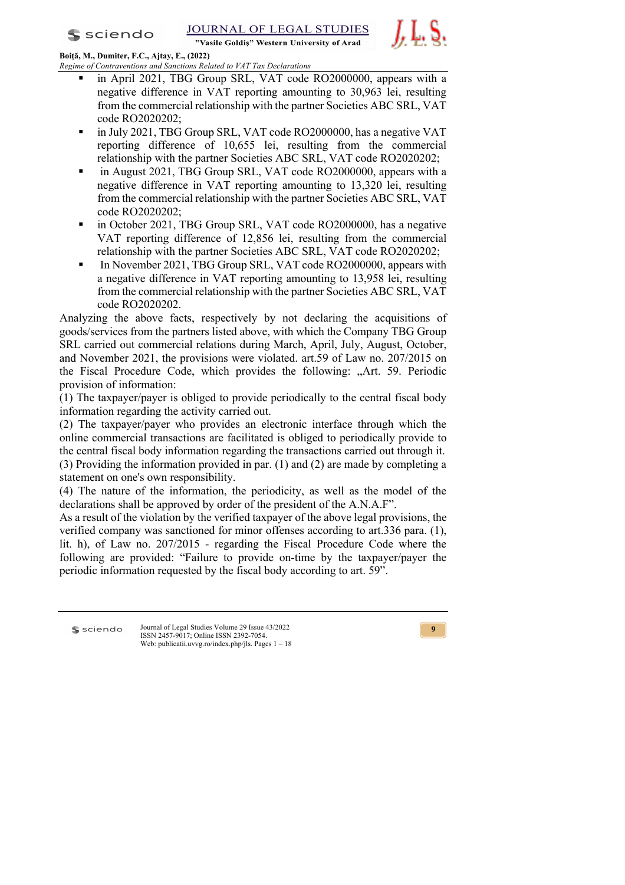JOURNAL OF LEGAL STUDIES

"Vasile Goldis" Western University of Arad



**Boiţă, M., Dumiter, F.C., Ajtay, E., (2022)** *Regime of Contraventions and Sanctions Related to VAT Tax Declarations*

- in April 2021, TBG Group SRL, VAT code RO2000000, appears with a negative difference in VAT reporting amounting to 30,963 lei, resulting from the commercial relationship with the partner Societies ABC SRL, VAT code RO2020202;
- § in July 2021, TBG Group SRL, VAT code RO2000000, has a negative VAT reporting difference of 10,655 lei, resulting from the commercial relationship with the partner Societies ABC SRL, VAT code RO2020202;
- in August 2021, TBG Group SRL, VAT code RO2000000, appears with a negative difference in VAT reporting amounting to 13,320 lei, resulting from the commercial relationship with the partner Societies ABC SRL, VAT code RO2020202;
- § in October 2021, TBG Group SRL, VAT code RO2000000, has a negative VAT reporting difference of 12,856 lei, resulting from the commercial relationship with the partner Societies ABC SRL, VAT code RO2020202;
- **•** In November 2021, TBG Group SRL, VAT code RO2000000, appears with a negative difference in VAT reporting amounting to 13,958 lei, resulting from the commercial relationship with the partner Societies ABC SRL, VAT code RO2020202.

Analyzing the above facts, respectively by not declaring the acquisitions of goods/services from the partners listed above, with which the Company TBG Group SRL carried out commercial relations during March, April, July, August, October, and November 2021, the provisions were violated. art.59 of Law no. 207/2015 on the Fiscal Procedure Code, which provides the following: "Art. 59. Periodic provision of information:

(1) The taxpayer/payer is obliged to provide periodically to the central fiscal body information regarding the activity carried out.

(2) The taxpayer/payer who provides an electronic interface through which the online commercial transactions are facilitated is obliged to periodically provide to the central fiscal body information regarding the transactions carried out through it. (3) Providing the information provided in par. (1) and (2) are made by completing a statement on one's own responsibility.

(4) The nature of the information, the periodicity, as well as the model of the declarations shall be approved by order of the president of the A.N.A.F".

As a result of the violation by the verified taxpayer of the above legal provisions, the verified company was sanctioned for minor offenses according to art.336 para. (1), lit. h), of Law no. 207/2015 - regarding the Fiscal Procedure Code where the following are provided: "Failure to provide on-time by the taxpayer/payer the periodic information requested by the fiscal body according to art. 59".

**S** sciendo

Journal of Legal Studies Volume 29 Issue 43/2022 ISSN 2457-9017; Online ISSN 2392-7054. Web: publicatii.uvvg.ro/index.php/jls. Pages 1 – 18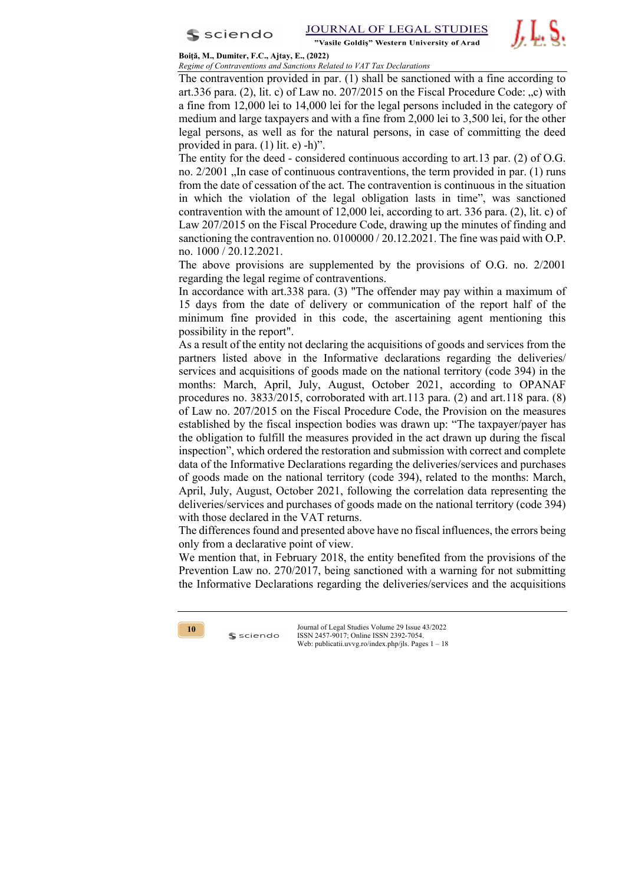

#### **Boiţă, M., Dumiter, F.C., Ajtay, E., (2022)** *Regime of Contraventions and Sanctions Related to VAT Tax Declarations*

The contravention provided in par. (1) shall be sanctioned with a fine according to art.336 para. (2), lit. c) of Law no. 207/2015 on the Fiscal Procedure Code:  $\alpha$ , c) with a fine from 12,000 lei to 14,000 lei for the legal persons included in the category of medium and large taxpayers and with a fine from 2,000 lei to 3,500 lei, for the other legal persons, as well as for the natural persons, in case of committing the deed provided in para. (1) lit. e) -h)".

The entity for the deed - considered continuous according to art.13 par. (2) of O.G. no.  $2/2001$ , In case of continuous contraventions, the term provided in par. (1) runs from the date of cessation of the act. The contravention is continuous in the situation in which the violation of the legal obligation lasts in time", was sanctioned contravention with the amount of 12,000 lei, according to art. 336 para. (2), lit. c) of Law 207/2015 on the Fiscal Procedure Code, drawing up the minutes of finding and sanctioning the contravention no. 0100000 / 20.12.2021. The fine was paid with O.P. no. 1000 / 20.12.2021.

The above provisions are supplemented by the provisions of O.G. no. 2/2001 regarding the legal regime of contraventions.

In accordance with art.338 para. (3) "The offender may pay within a maximum of 15 days from the date of delivery or communication of the report half of the minimum fine provided in this code, the ascertaining agent mentioning this possibility in the report".

As a result of the entity not declaring the acquisitions of goods and services from the partners listed above in the Informative declarations regarding the deliveries/ services and acquisitions of goods made on the national territory (code 394) in the months: March, April, July, August, October 2021, according to OPANAF procedures no.  $3833/2015$ , corroborated with art.113 para. (2) and art.118 para. (8) of Law no. 207/2015 on the Fiscal Procedure Code, the Provision on the measures established by the fiscal inspection bodies was drawn up: "The taxpayer/payer has the obligation to fulfill the measures provided in the act drawn up during the fiscal inspection", which ordered the restoration and submission with correct and complete data of the Informative Declarations regarding the deliveries/services and purchases of goods made on the national territory (code 394), related to the months: March, April, July, August, October 2021, following the correlation data representing the deliveries/services and purchases of goods made on the national territory (code 394) with those declared in the VAT returns.

The differences found and presented above have no fiscal influences, the errors being only from a declarative point of view.

We mention that, in February 2018, the entity benefited from the provisions of the Prevention Law no. 270/2017, being sanctioned with a warning for not submitting the Informative Declarations regarding the deliveries/services and the acquisitions



 $s$  sciendo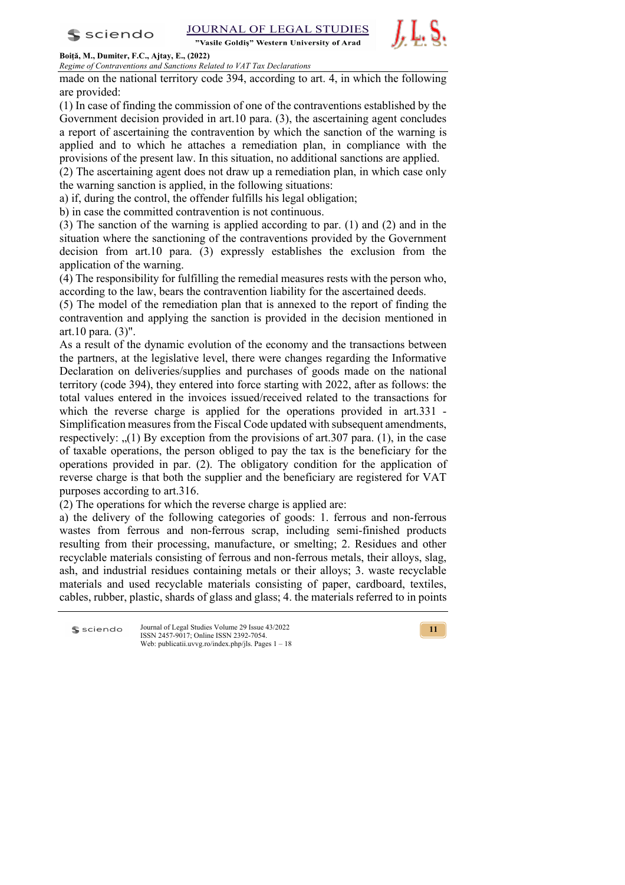"Vasile Goldis" Western University of Arad



# **Boiţă, M., Dumiter, F.C., Ajtay, E., (2022)**

*Regime of Contraventions and Sanctions Related to VAT Tax Declarations*

made on the national territory code 394, according to art. 4, in which the following are provided:

(1) In case of finding the commission of one of the contraventions established by the Government decision provided in art.10 para. (3), the ascertaining agent concludes a report of ascertaining the contravention by which the sanction of the warning is applied and to which he attaches a remediation plan, in compliance with the provisions of the present law. In this situation, no additional sanctions are applied.

(2) The ascertaining agent does not draw up a remediation plan, in which case only the warning sanction is applied, in the following situations:

a) if, during the control, the offender fulfills his legal obligation;

b) in case the committed contravention is not continuous.

(3) The sanction of the warning is applied according to par. (1) and (2) and in the situation where the sanctioning of the contraventions provided by the Government decision from art.10 para. (3) expressly establishes the exclusion from the application of the warning.

(4) The responsibility for fulfilling the remedial measures rests with the person who, according to the law, bears the contravention liability for the ascertained deeds.

(5) The model of the remediation plan that is annexed to the report of finding the contravention and applying the sanction is provided in the decision mentioned in art.10 para. (3)".

As a result of the dynamic evolution of the economy and the transactions between the partners, at the legislative level, there were changes regarding the Informative Declaration on deliveries/supplies and purchases of goods made on the national territory (code 394), they entered into force starting with 2022, after as follows: the total values entered in the invoices issued/received related to the transactions for which the reverse charge is applied for the operations provided in art.331 -Simplification measures from the Fiscal Code updated with subsequent amendments, respectively:  $(1)$  By exception from the provisions of art. 307 para. (1), in the case of taxable operations, the person obliged to pay the tax is the beneficiary for the operations provided in par. (2). The obligatory condition for the application of reverse charge is that both the supplier and the beneficiary are registered for VAT purposes according to art.316.

(2) The operations for which the reverse charge is applied are:

a) the delivery of the following categories of goods: 1. ferrous and non-ferrous wastes from ferrous and non-ferrous scrap, including semi-finished products resulting from their processing, manufacture, or smelting; 2. Residues and other recyclable materials consisting of ferrous and non-ferrous metals, their alloys, slag, ash, and industrial residues containing metals or their alloys; 3. waste recyclable materials and used recyclable materials consisting of paper, cardboard, textiles, cables, rubber, plastic, shards of glass and glass; 4. the materials referred to in points

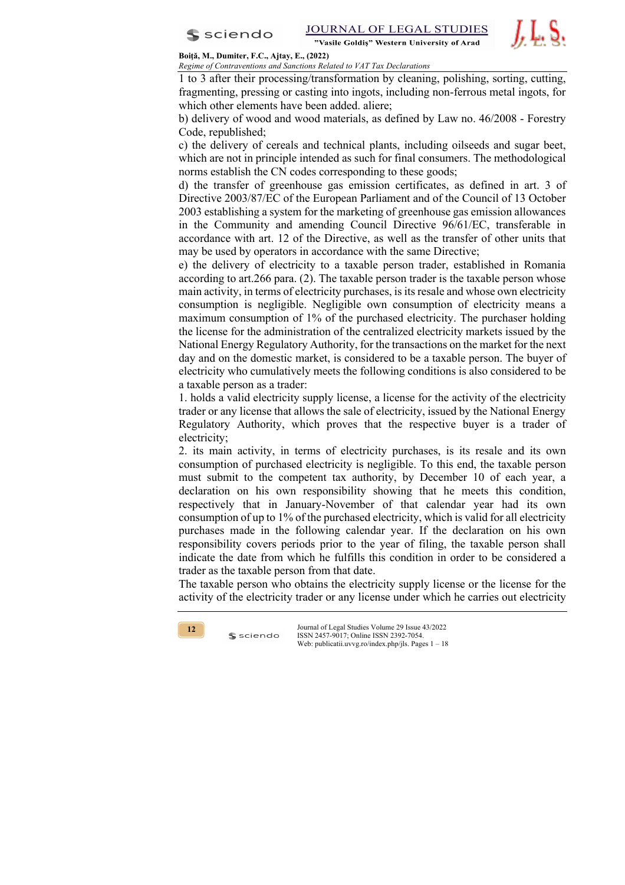

JOURNAL OF LEGAL STUDIES "Vasile Goldis" Western University of Arad

*J.* L. S.

#### **Boiţă, M., Dumiter, F.C., Ajtay, E., (2022)** *Regime of Contraventions and Sanctions Related to VAT Tax Declarations*

1 to 3 after their processing/transformation by cleaning, polishing, sorting, cutting, fragmenting, pressing or casting into ingots, including non-ferrous metal ingots, for which other elements have been added. aliere;

b) delivery of wood and wood materials, as defined by Law no. 46/2008 - Forestry Code, republished;

c) the delivery of cereals and technical plants, including oilseeds and sugar beet, which are not in principle intended as such for final consumers. The methodological norms establish the CN codes corresponding to these goods;

d) the transfer of greenhouse gas emission certificates, as defined in art. 3 of Directive 2003/87/EC of the European Parliament and of the Council of 13 October 2003 establishing a system for the marketing of greenhouse gas emission allowances in the Community and amending Council Directive 96/61/EC, transferable in accordance with art. 12 of the Directive, as well as the transfer of other units that may be used by operators in accordance with the same Directive;

e) the delivery of electricity to a taxable person trader, established in Romania according to art.266 para. (2). The taxable person trader is the taxable person whose main activity, in terms of electricity purchases, is its resale and whose own electricity consumption is negligible. Negligible own consumption of electricity means a maximum consumption of 1% of the purchased electricity. The purchaser holding the license for the administration of the centralized electricity markets issued by the National Energy Regulatory Authority, for the transactions on the market for the next day and on the domestic market, is considered to be a taxable person. The buyer of electricity who cumulatively meets the following conditions is also considered to be a taxable person as a trader:

1. holds a valid electricity supply license, a license for the activity of the electricity trader or any license that allows the sale of electricity, issued by the National Energy Regulatory Authority, which proves that the respective buyer is a trader of electricity;

2. its main activity, in terms of electricity purchases, is its resale and its own consumption of purchased electricity is negligible. To this end, the taxable person must submit to the competent tax authority, by December 10 of each year, a declaration on his own responsibility showing that he meets this condition, respectively that in January-November of that calendar year had its own consumption of up to 1% of the purchased electricity, which is valid for all electricity purchases made in the following calendar year. If the declaration on his own responsibility covers periods prior to the year of filing, the taxable person shall indicate the date from which he fulfills this condition in order to be considered a trader as the taxable person from that date.

The taxable person who obtains the electricity supply license or the license for the activity of the electricity trader or any license under which he carries out electricity



 $s$  sciendo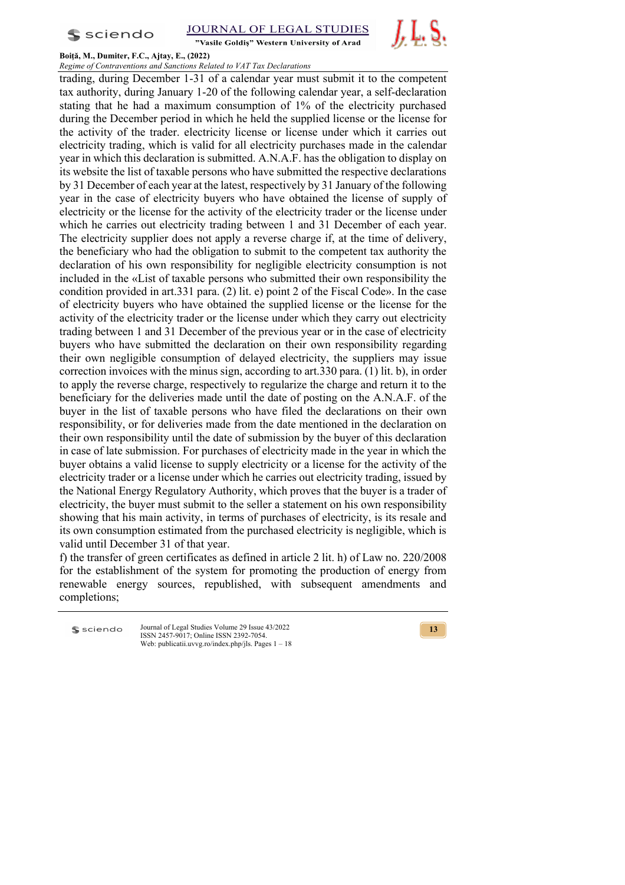**S** sciendo



"Vasile Goldis" Western University of Arad



#### **Boiţă, M., Dumiter, F.C., Ajtay, E., (2022)** *Regime of Contraventions and Sanctions Related to VAT Tax Declarations*

trading, during December 1-31 of a calendar year must submit it to the competent tax authority, during January 1-20 of the following calendar year, a self-declaration stating that he had a maximum consumption of 1% of the electricity purchased during the December period in which he held the supplied license or the license for the activity of the trader. electricity license or license under which it carries out electricity trading, which is valid for all electricity purchases made in the calendar year in which this declaration is submitted. A.N.A.F. has the obligation to display on its website the list of taxable persons who have submitted the respective declarations by 31 December of each year at the latest, respectively by 31 January of the following year in the case of electricity buyers who have obtained the license of supply of electricity or the license for the activity of the electricity trader or the license under which he carries out electricity trading between 1 and 31 December of each year. The electricity supplier does not apply a reverse charge if, at the time of delivery, the beneficiary who had the obligation to submit to the competent tax authority the declaration of his own responsibility for negligible electricity consumption is not included in the «List of taxable persons who submitted their own responsibility the condition provided in art.331 para. (2) lit. e) point 2 of the Fiscal Code». In the case of electricity buyers who have obtained the supplied license or the license for the activity of the electricity trader or the license under which they carry out electricity trading between 1 and 31 December of the previous year or in the case of electricity buyers who have submitted the declaration on their own responsibility regarding their own negligible consumption of delayed electricity, the suppliers may issue correction invoices with the minus sign, according to art.330 para. (1) lit. b), in order to apply the reverse charge, respectively to regularize the charge and return it to the beneficiary for the deliveries made until the date of posting on the A.N.A.F. of the buyer in the list of taxable persons who have filed the declarations on their own responsibility, or for deliveries made from the date mentioned in the declaration on their own responsibility until the date of submission by the buyer of this declaration in case of late submission. For purchases of electricity made in the year in which the buyer obtains a valid license to supply electricity or a license for the activity of the electricity trader or a license under which he carries out electricity trading, issued by the National Energy Regulatory Authority, which proves that the buyer is a trader of electricity, the buyer must submit to the seller a statement on his own responsibility showing that his main activity, in terms of purchases of electricity, is its resale and its own consumption estimated from the purchased electricity is negligible, which is valid until December 31 of that year.

f) the transfer of green certificates as defined in article 2 lit. h) of Law no. 220/2008 for the establishment of the system for promoting the production of energy from renewable energy sources, republished, with subsequent amendments and completions;

Journal of Legal Studies Volume 29 Issue 43/2022 sciendo ISSN 2457-9017; Online ISSN 2392-7054. Web: publicatii.uvvg.ro/index.php/jls. Pages 1 – 18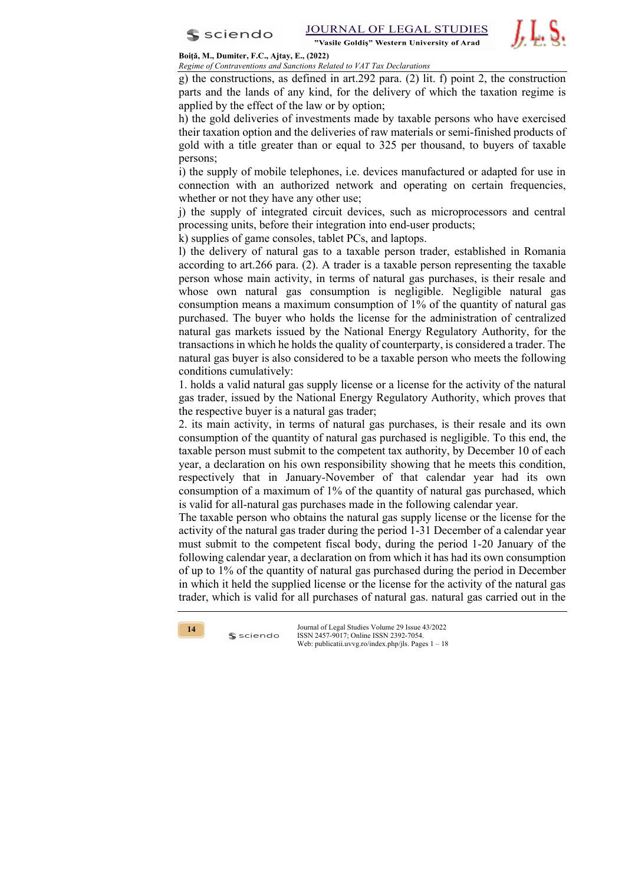

*J.* L. S.

# **Boiţă, M., Dumiter, F.C., Ajtay, E., (2022)**

*Regime of Contraventions and Sanctions Related to VAT Tax Declarations*

g) the constructions, as defined in art.292 para. (2) lit. f) point 2, the construction parts and the lands of any kind, for the delivery of which the taxation regime is applied by the effect of the law or by option;

h) the gold deliveries of investments made by taxable persons who have exercised their taxation option and the deliveries of raw materials or semi-finished products of gold with a title greater than or equal to 325 per thousand, to buyers of taxable persons;

i) the supply of mobile telephones, i.e. devices manufactured or adapted for use in connection with an authorized network and operating on certain frequencies, whether or not they have any other use;

j) the supply of integrated circuit devices, such as microprocessors and central processing units, before their integration into end-user products;

k) supplies of game consoles, tablet PCs, and laptops.

l) the delivery of natural gas to a taxable person trader, established in Romania according to art.266 para. (2). A trader is a taxable person representing the taxable person whose main activity, in terms of natural gas purchases, is their resale and whose own natural gas consumption is negligible. Negligible natural gas consumption means a maximum consumption of 1% of the quantity of natural gas purchased. The buyer who holds the license for the administration of centralized natural gas markets issued by the National Energy Regulatory Authority, for the transactions in which he holds the quality of counterparty, is considered a trader. The natural gas buyer is also considered to be a taxable person who meets the following conditions cumulatively:

1. holds a valid natural gas supply license or a license for the activity of the natural gas trader, issued by the National Energy Regulatory Authority, which proves that the respective buyer is a natural gas trader;

2. its main activity, in terms of natural gas purchases, is their resale and its own consumption of the quantity of natural gas purchased is negligible. To this end, the taxable person must submit to the competent tax authority, by December 10 of each year, a declaration on his own responsibility showing that he meets this condition, respectively that in January-November of that calendar year had its own consumption of a maximum of 1% of the quantity of natural gas purchased, which is valid for all-natural gas purchases made in the following calendar year.

The taxable person who obtains the natural gas supply license or the license for the activity of the natural gas trader during the period 1-31 December of a calendar year must submit to the competent fiscal body, during the period 1-20 January of the following calendar year, a declaration on from which it has had its own consumption of up to 1% of the quantity of natural gas purchased during the period in December in which it held the supplied license or the license for the activity of the natural gas trader, which is valid for all purchases of natural gas. natural gas carried out in the



 $s$  sciendo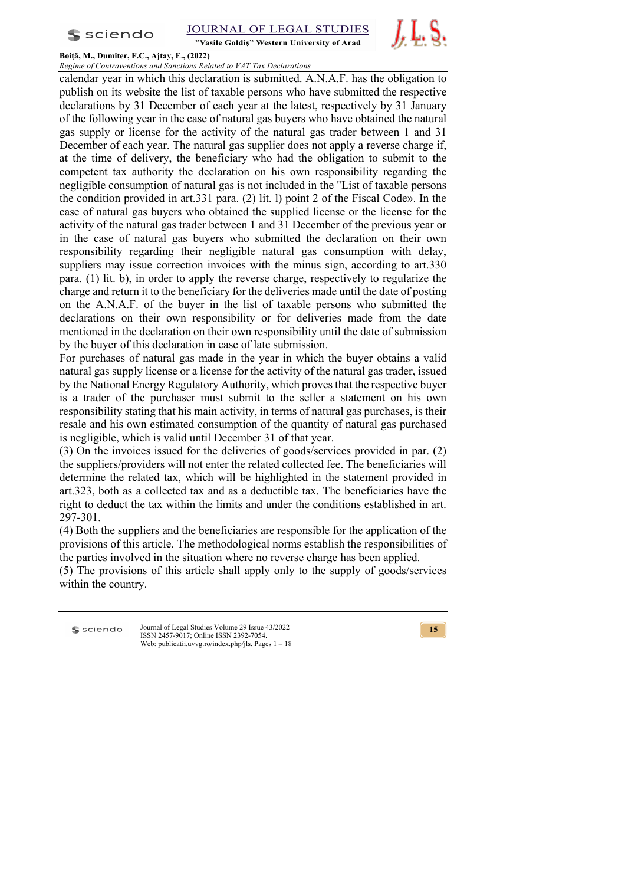

"Vasile Goldis" Western University of Arad



# **Boiţă, M., Dumiter, F.C., Ajtay, E., (2022)**

*Regime of Contraventions and Sanctions Related to VAT Tax Declarations* calendar year in which this declaration is submitted. A.N.A.F. has the obligation to publish on its website the list of taxable persons who have submitted the respective declarations by 31 December of each year at the latest, respectively by 31 January of the following year in the case of natural gas buyers who have obtained the natural gas supply or license for the activity of the natural gas trader between 1 and 31 December of each year. The natural gas supplier does not apply a reverse charge if, at the time of delivery, the beneficiary who had the obligation to submit to the competent tax authority the declaration on his own responsibility regarding the negligible consumption of natural gas is not included in the "List of taxable persons the condition provided in art.331 para. (2) lit. l) point 2 of the Fiscal Code». In the case of natural gas buyers who obtained the supplied license or the license for the activity of the natural gas trader between 1 and 31 December of the previous year or in the case of natural gas buyers who submitted the declaration on their own responsibility regarding their negligible natural gas consumption with delay, suppliers may issue correction invoices with the minus sign, according to art.330 para. (1) lit. b), in order to apply the reverse charge, respectively to regularize the charge and return it to the beneficiary for the deliveries made until the date of posting on the A.N.A.F. of the buyer in the list of taxable persons who submitted the declarations on their own responsibility or for deliveries made from the date mentioned in the declaration on their own responsibility until the date of submission by the buyer of this declaration in case of late submission.

For purchases of natural gas made in the year in which the buyer obtains a valid natural gas supply license or a license for the activity of the natural gas trader, issued by the National Energy Regulatory Authority, which proves that the respective buyer is a trader of the purchaser must submit to the seller a statement on his own responsibility stating that his main activity, in terms of natural gas purchases, is their resale and his own estimated consumption of the quantity of natural gas purchased is negligible, which is valid until December 31 of that year.

(3) On the invoices issued for the deliveries of goods/services provided in par. (2) the suppliers/providers will not enter the related collected fee. The beneficiaries will determine the related tax, which will be highlighted in the statement provided in art.323, both as a collected tax and as a deductible tax. The beneficiaries have the right to deduct the tax within the limits and under the conditions established in art. 297-301.

(4) Both the suppliers and the beneficiaries are responsible for the application of the provisions of this article. The methodological norms establish the responsibilities of the parties involved in the situation where no reverse charge has been applied.

(5) The provisions of this article shall apply only to the supply of goods/services within the country.

**S** sciendo

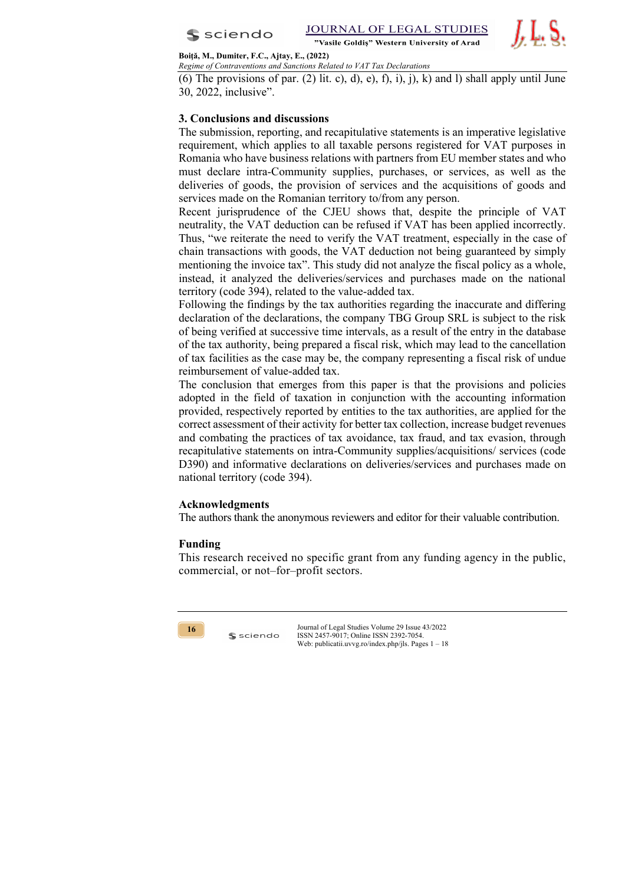

JOURNAL OF LEGAL STUDIES "Vasile Goldis" Western University of Arad

J. L. S.

#### **Boiţă, M., Dumiter, F.C., Ajtay, E., (2022)** *Regime of Contraventions and Sanctions Related to VAT Tax Declarations*

(6) The provisions of par.  $(2)$  lit. c), d), e), f), i), j), k) and l) shall apply until June 30, 2022, inclusive".

# **3. Conclusions and discussions**

The submission, reporting, and recapitulative statements is an imperative legislative requirement, which applies to all taxable persons registered for VAT purposes in Romania who have business relations with partners from EU member states and who must declare intra-Community supplies, purchases, or services, as well as the deliveries of goods, the provision of services and the acquisitions of goods and services made on the Romanian territory to/from any person.

Recent jurisprudence of the CJEU shows that, despite the principle of VAT neutrality, the VAT deduction can be refused if VAT has been applied incorrectly. Thus, "we reiterate the need to verify the VAT treatment, especially in the case of chain transactions with goods, the VAT deduction not being guaranteed by simply mentioning the invoice tax". This study did not analyze the fiscal policy as a whole, instead, it analyzed the deliveries/services and purchases made on the national territory (code 394), related to the value-added tax.

Following the findings by the tax authorities regarding the inaccurate and differing declaration of the declarations, the company TBG Group SRL is subject to the risk of being verified at successive time intervals, as a result of the entry in the database of the tax authority, being prepared a fiscal risk, which may lead to the cancellation of tax facilities as the case may be, the company representing a fiscal risk of undue reimbursement of value-added tax.

The conclusion that emerges from this paper is that the provisions and policies adopted in the field of taxation in conjunction with the accounting information provided, respectively reported by entities to the tax authorities, are applied for the correct assessment of their activity for better tax collection, increase budget revenues and combating the practices of tax avoidance, tax fraud, and tax evasion, through recapitulative statements on intra-Community supplies/acquisitions/ services (code D390) and informative declarations on deliveries/services and purchases made on national territory (code 394).

# **Acknowledgments**

 $s$  sciendo

The authors thank the anonymous reviewers and editor for their valuable contribution.

## **Funding**

This research received no specific grant from any funding agency in the public, commercial, or not–for–profit sectors.

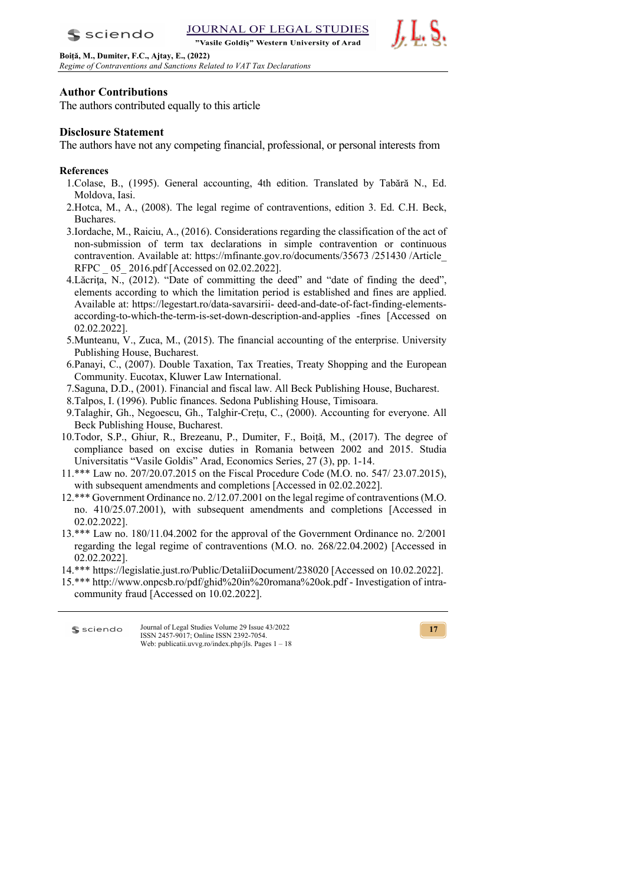**JOURNAL OF LEGAI STUDIES** "Vasile Goldis" Western University of Arad

**Boiţă, M., Dumiter, F.C., Ajtay, E., (2022)** *Regime of Contraventions and Sanctions Related to VAT Tax Declarations*



# **Author Contributions**

 $s$  sciendo

The authors contributed equally to this article

# **Disclosure Statement**

The authors have not any competing financial, professional, or personal interests from

# **References**

- 1.Colase, B., (1995). General accounting, 4th edition. Translated by Tabără N., Ed. Moldova, Iasi.
- 2.Hotca, M., A., (2008). The legal regime of contraventions, edition 3. Ed. C.H. Beck, Buchares.
- 3.Iordache, M., Raiciu, A., (2016). Considerations regarding the classification of the act of non-submission of term tax declarations in simple contravention or continuous contravention. Available at: https://mfinante.gov.ro/documents/35673 /251430 /Article\_ RFPC  $05\ 2016.pdf$  [Accessed on 02.02.2022].
- 4. Lăcrița, N., (2012). "Date of committing the deed" and "date of finding the deed", elements according to which the limitation period is established and fines are applied. Available at: https://legestart.ro/data-savarsirii- deed-and-date-of-fact-finding-elementsaccording-to-which-the-term-is-set-down-description-and-applies -fines [Accessed on 02.02.2022].
- 5.Munteanu, V., Zuca, M., (2015). The financial accounting of the enterprise. University Publishing House, Bucharest.
- 6.Panayi, C., (2007). Double Taxation, Tax Treaties, Treaty Shopping and the European Community. Eucotax, Kluwer Law International.
- 7.Saguna, D.D., (2001). Financial and fiscal law. All Beck Publishing House, Bucharest.
- 8.Talpos, I. (1996). Public finances. Sedona Publishing House, Timisoara.
- 9.Talaghir, Gh., Negoescu, Gh., Talghir-Crețu, C., (2000). Accounting for everyone. All Beck Publishing House, Bucharest.
- 10.Todor, S.P., Ghiur, R., Brezeanu, P., Dumiter, F., Boiță, M., (2017). The degree of compliance based on excise duties in Romania between 2002 and 2015. Studia Universitatis "Vasile Goldis" Arad, Economics Series, 27 (3), pp. 1-14.
- 11.\*\*\* Law no. 207/20.07.2015 on the Fiscal Procedure Code (M.O. no. 547/ 23.07.2015), with subsequent amendments and completions [Accessed in 02.02.2022].
- 12.\*\*\* Government Ordinance no. 2/12.07.2001 on the legal regime of contraventions (M.O. no. 410/25.07.2001), with subsequent amendments and completions [Accessed in 02.02.2022].
- 13.\*\*\* Law no. 180/11.04.2002 for the approval of the Government Ordinance no. 2/2001 regarding the legal regime of contraventions (M.O. no. 268/22.04.2002) [Accessed in 02.02.2022].

14.\*\*\* https://legislatie.just.ro/Public/DetaliiDocument/238020 [Accessed on 10.02.2022].

15.\*\*\* http://www.onpcsb.ro/pdf/ghid%20in%20romana%20ok.pdf - Investigation of intracommunity fraud [Accessed on 10.02.2022].

Journal of Legal Studies Volume 29 Issue 43/2022 sciendo ISSN 2457-9017; Online ISSN 2392-7054. Web: publicatii.uvvg.ro/index.php/jls. Pages 1 – 18